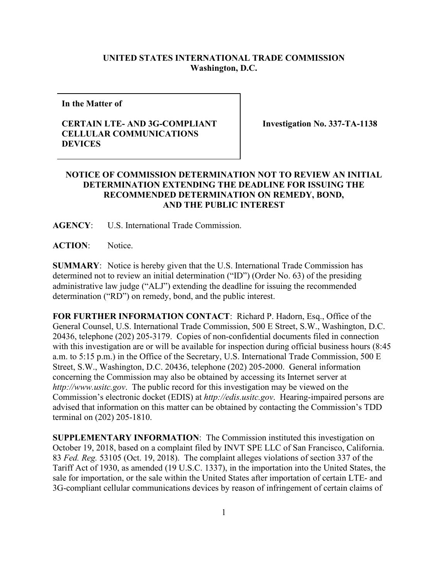## **UNITED STATES INTERNATIONAL TRADE COMMISSION Washington, D.C.**

**In the Matter of**

## **CERTAIN LTE- AND 3G-COMPLIANT CELLULAR COMMUNICATIONS DEVICES**

**Investigation No. 337-TA-1138**

## **NOTICE OF COMMISSION DETERMINATION NOT TO REVIEW AN INITIAL DETERMINATION EXTENDING THE DEADLINE FOR ISSUING THE RECOMMENDED DETERMINATION ON REMEDY, BOND, AND THE PUBLIC INTEREST**

**AGENCY**: U.S. International Trade Commission.

**ACTION**: Notice.

**SUMMARY**: Notice is hereby given that the U.S. International Trade Commission has determined not to review an initial determination ("ID") (Order No. 63) of the presiding administrative law judge ("ALJ") extending the deadline for issuing the recommended determination ("RD") on remedy, bond, and the public interest.

**FOR FURTHER INFORMATION CONTACT**: Richard P. Hadorn, Esq., Office of the General Counsel, U.S. International Trade Commission, 500 E Street, S.W., Washington, D.C. 20436, telephone (202) 205-3179. Copies of non-confidential documents filed in connection with this investigation are or will be available for inspection during official business hours (8:45 a.m. to 5:15 p.m.) in the Office of the Secretary, U.S. International Trade Commission, 500 E Street, S.W., Washington, D.C. 20436, telephone (202) 205-2000. General information concerning the Commission may also be obtained by accessing its Internet server at *http://www.usitc.gov*. The public record for this investigation may be viewed on the Commission's electronic docket (EDIS) at *http://edis.usitc.gov*. Hearing-impaired persons are advised that information on this matter can be obtained by contacting the Commission's TDD terminal on (202) 205-1810.

**SUPPLEMENTARY INFORMATION**: The Commission instituted this investigation on October 19, 2018, based on a complaint filed by INVT SPE LLC of San Francisco, California. 83 *Fed. Reg.* 53105 (Oct. 19, 2018). The complaint alleges violations of section 337 of the Tariff Act of 1930, as amended (19 U.S.C. 1337), in the importation into the United States, the sale for importation, or the sale within the United States after importation of certain LTE- and 3G-compliant cellular communications devices by reason of infringement of certain claims of